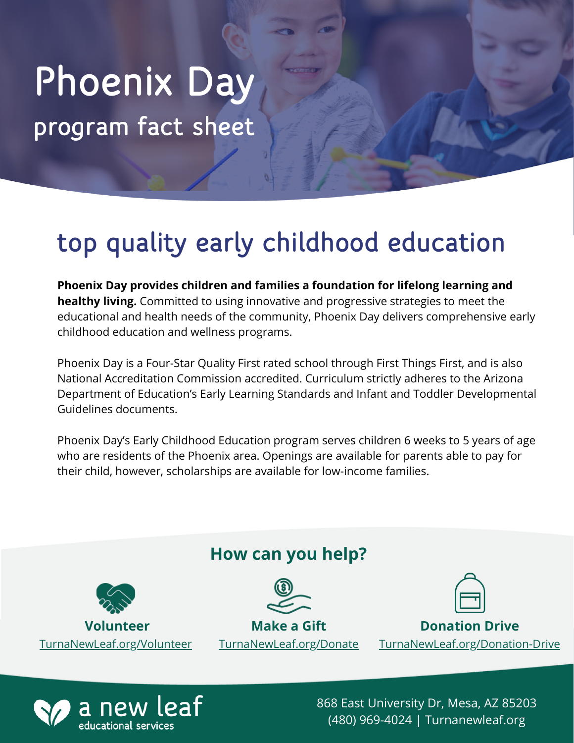# program fact sheet Phoenix Day

## top quality early childhood education

**Phoenix Day provides children and families a foundation for lifelong learning and healthy living.** Committed to using innovative and progressive strategies to meet the educational and health needs of the community, Phoenix Day delivers comprehensive early childhood education and wellness programs.

Phoenix Day is a Four-Star Quality First rated school through First Things First, and is also National Accreditation Commission accredited. Curriculum strictly adheres to the Arizona Department of Education's Early Learning Standards and Infant and Toddler Developmental Guidelines documents.

Phoenix Day's Early Childhood Education program serves children 6 weeks to 5 years of age who are residents of the Phoenix area. Openings are available for parents able to pay for their child, however, scholarships are available for low-income families.